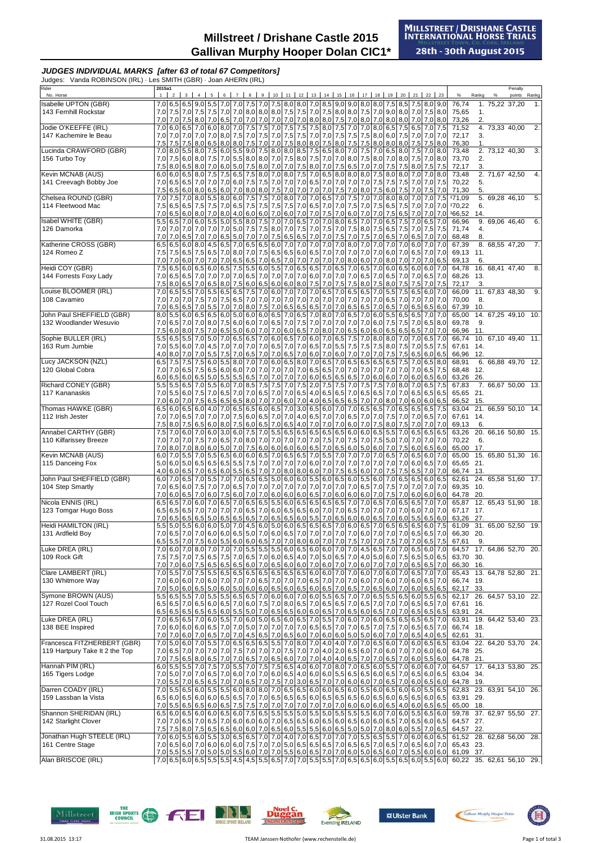## **JUDGES INDIVIDUAL MARKS [after 63 of total 67 Competitors]** Judges: Vanda ROBINSON (IRL) · Les SMITH (GBR) · Joan AHERN (IRL)

| Rider                                         | 2015a1            |                |               |                          |                                         |     |                |                      |                  |            |                                                             |           |                   |                       |            |                                                                                                                                                                                                                                |            |             |                |            |            |                                                                                                                                                                                                                                |     |                                                                                                                              |            |                           | Penalty |       |
|-----------------------------------------------|-------------------|----------------|---------------|--------------------------|-----------------------------------------|-----|----------------|----------------------|------------------|------------|-------------------------------------------------------------|-----------|-------------------|-----------------------|------------|--------------------------------------------------------------------------------------------------------------------------------------------------------------------------------------------------------------------------------|------------|-------------|----------------|------------|------------|--------------------------------------------------------------------------------------------------------------------------------------------------------------------------------------------------------------------------------|-----|------------------------------------------------------------------------------------------------------------------------------|------------|---------------------------|---------|-------|
| No. Horse                                     | $\mathbf{1}$      | $\overline{2}$ |               |                          | $3 \quad 4 \quad 5$                     | 6   | 7 <sup>1</sup> | 8                    |                  |            |                                                             |           |                   |                       |            | 9 10 11 12 13 14 15 16 17                                                                                                                                                                                                      |            |             | 18   19        |            |            | 20 21 22                                                                                                                                                                                                                       | 23  | %                                                                                                                            | Rankg      | %                         | points  | Rankg |
| Isabelle UPTON (GBR)                          |                   |                |               |                          |                                         |     |                |                      |                  |            |                                                             |           |                   |                       |            |                                                                                                                                                                                                                                |            |             |                |            |            | 7,0 6,5 6,5 9,0 5,5 7,6 6,5 7,0 7,0 7,5 7,0 7,5 8,0 8,0 7,0 8,5 9,0 9,0 8,0 8,0 7,5 8,5 7,5 8,0 9,0                                                                                                                            |     | 76,74                                                                                                                        |            | 1. 75,22 37,20            |         | 1.    |
| 143 Fernhill Rockstar                         |                   |                |               |                          |                                         |     |                |                      |                  |            |                                                             |           |                   |                       |            |                                                                                                                                                                                                                                |            |             |                |            |            | 7,0 7,5 7,0 7,5 7,0 7,5 8,0 8,0 7,5 8,0 8,0 7,5 8,0 8,0 7,5 8,0 8,0 7,5 7,0 9,0 8,0 7,6 7,0 9,0 8,0 7,6 8,0                                                                                                                    |     | 75,65                                                                                                                        | 1.         |                           |         |       |
|                                               | 7.0               |                |               |                          | 7,0 7,5 8,0 7,0                         |     |                | 6,5 7,0 7,0 7,0      |                  | 7,0        |                                                             |           | 7,0 7,0 8,0 8,0   |                       | 7,5        | $7,0$ 8.0                                                                                                                                                                                                                      |            |             | $7,0$ 8,0      | 8,0        |            | 7,0 7,0 8,0                                                                                                                                                                                                                    |     | 73,26                                                                                                                        | 2.         |                           |         |       |
| Jodie O'KEEFFE (IRL)<br>147 Kachemire le Beau | 7,0<br>7.0        |                |               |                          | 6,0 6,5 7,0 6,0 <br> 7,0 7,0 7,0 7,0    |     | $8,0$ 7,0      | 7,5<br>$8,0$ 7,5 7,0 | 7,5<br>7,5       | 7,0<br>7,0 | 7,5<br>7,5                                                  | 7,5       | 7,5 7,0 7,0       | $7,5$ 8,0             | 7,5<br>7,5 | 7,0<br>7,5                                                                                                                                                                                                                     | 7,0<br>7,5 | 8,0         | 6,5<br>8,0 6,0 | 7,5<br>7,5 | 6,5        | 7,0<br>7,0 7,0 7,0                                                                                                                                                                                                             | 7,5 | 71,52<br>72,17                                                                                                               | 3.         | 4. 73,33 40,00            |         | 2.    |
|                                               | 7.5               |                | $7,5$ 7.5     | 8,0 6,5                  |                                         |     |                | $8,0$ $8,0$ 7,5      | 7,0              | 7,0        | 7,5                                                         |           | 8,0 8,0 7,5       |                       | 8,0        | 7,5                                                                                                                                                                                                                            | 7,5        | $8,0$ $8,0$ |                | 8,0        | 7,5        | 7,5                                                                                                                                                                                                                            | 8,0 | 76,30                                                                                                                        | 1.         |                           |         |       |
| Lucinda CRAWFORD (GBR)                        |                   |                |               |                          | 7,0 8,0 5,5 8,0 7,5                     |     |                | $6,0$ 5,5 9,0        | 7,5              | 8,0        | $8,0$ 8,5                                                   |           |                   | $7,5$ 6,5             | 8,0        | 7,0                                                                                                                                                                                                                            | 7,5        | 7,0         | 6,5            | 8,0        | 7,5        | 7,0                                                                                                                                                                                                                            | 8,0 | 73,48                                                                                                                        |            | 2. 73,12 40,30            |         | 3.    |
| 156 Turbo Toy                                 |                   |                |               |                          | 7,0 7,5 6,0 8,0 7,5                     | 7,0 |                | $5,5$ 8,0            | 8,0              | 7,0        | 7,5                                                         |           | 8,0 7,5 7,0       |                       | 7,0        | 8,0                                                                                                                                                                                                                            | 7,5        | 8,0         | 7,0            | 8,0        | 7,5        | 7,0                                                                                                                                                                                                                            | 8,0 | 73,70                                                                                                                        | 2.         |                           |         |       |
|                                               | 7.5               |                |               |                          | 8,0 6,5 8,0 7,0                         | 6,0 |                | $5,0$ 7,5            | 8,0              | 7,0        |                                                             |           | 7,0 7,5 8,0 7,0   |                       | 7,5        | 6,5                                                                                                                                                                                                                            | 7,0        | 7,0         | 7,5            | 7,5        | 8,0        | 7,5                                                                                                                                                                                                                            | 7,5 | 72,17                                                                                                                        | 3.         |                           |         |       |
| Kevin MCNAB (AUS)                             |                   |                |               |                          | $6,0$ 6,0 6,5 8,0 7,5                   |     |                | 7,5 6,5 7,5 8,0      |                  | 7,0        |                                                             |           | $8,0$ 7,5 7,0 6,5 |                       | 8,0        | $8,0$ 8,0                                                                                                                                                                                                                      |            |             | $7,5$ 8,0      | 8,0        | 7,0        | 7,0 8,0                                                                                                                                                                                                                        |     | 73,48                                                                                                                        |            | 2. 71,67 42,50            |         | 4.    |
| 141 Creevagh Bobby Joe                        |                   |                |               |                          | 7,0 6,5 6,5 7,0 7,0                     |     |                | 7,0 6,0 7,5 7,5      |                  |            | 7,0 7,0 7,0 6,5 7,0 7,0                                     |           |                   |                       |            | $7,0$ 7,0                                                                                                                                                                                                                      |            |             | $7,5$ 7,5      | 7,5        | 7,0        | 7,0                                                                                                                                                                                                                            | 7,5 | 70,22                                                                                                                        | 5.         |                           |         |       |
|                                               | 7.5               |                |               |                          | $6,5$ 6.0 8.0 6.5                       |     |                | $6,0$ 7,0 8,0 8,0    |                  | 7,5        |                                                             |           | 7,0 7,0 7,0 7,0   |                       | 7,5        | $7,0$ 8.0                                                                                                                                                                                                                      |            | 7,5         | 6,0            | 7,5        | 7,0        | 7,5                                                                                                                                                                                                                            | 7,0 | 71,30                                                                                                                        | 5.         |                           |         |       |
| Chelsea ROUND (GBR)                           |                   |                |               |                          | 7,0 7,5 7,0 8,0 5,5                     |     |                | $8.0$ 6.0 $7.5$      | 7,5              | 7,0        |                                                             |           | 8,0 7,0 7,0 6,5   |                       | 7,0        | 7,5                                                                                                                                                                                                                            | 7,0        |             | $7,0$ 8,0      | 8,0        | 7,0        | 7,0                                                                                                                                                                                                                            |     | 7,5 171,09                                                                                                                   |            | 5. 69,28 46,10            |         | 5.    |
| 114 Fleetwood Mac                             | 7,5               |                |               | $6,5$ 6,5 7,5            | 7,5                                     |     | $7,0$ 6,5      | 7,5                  | 7,5              | 7,5        | 7,5                                                         |           | 7,0 6,5 7,0       |                       | 7,0        | 7,5                                                                                                                                                                                                                            | 7,0        | 7,5         | 6,5            | 7,5        | 7,0        | 7,0                                                                                                                                                                                                                            |     | 7,0 170,22                                                                                                                   | 6.         |                           |         |       |
|                                               | 7,0               |                |               |                          | $6,5$ 6,0 8,0 7,0                       |     |                | $8,0$ 4,0 6,0        | 6,0              | 7,0        |                                                             | 6,0 7,0   | 7,0 7,5           |                       | 7,0        | 6,0                                                                                                                                                                                                                            | 7,0        | 7,0         | 7,5            | 6,5        | 7,0        | 7,0                                                                                                                                                                                                                            | 7,0 | 166.52                                                                                                                       | 14.        |                           |         |       |
| Isabel WHITE (GBR)                            | 5,5               |                |               |                          | $6,5$ 7,0 6,0 5,5                       |     |                | $5,0$ 5,5 8,0        | 7,5              | 7,0        | 7,0                                                         |           | 6,5 7,0 7,0       |                       | 8,0        | 6,5                                                                                                                                                                                                                            | 7,0        | 7,0         | 6,5            | 7,5        | 7.0        | 6,5                                                                                                                                                                                                                            | 7,0 | 66,96                                                                                                                        |            | 9. 69,06 46,40            |         | 6.    |
| 126 Damorka                                   |                   |                |               |                          | 7,0 7,0 7,0 7,0 7,0                     |     |                | 7,0 5,0 7,5 7,5      |                  | 8,0        | $7,0$ 7,5                                                   |           | 7,0 7,5           |                       | 7,0        | $7,5$ 8,0                                                                                                                                                                                                                      |            |             | 7,5 6,5        | 7,5        | 7,0        | 7,5                                                                                                                                                                                                                            | 7,5 | 71,74                                                                                                                        | 4.         |                           |         |       |
|                                               | 7,0 7,0 6,5 7,0   |                |               |                          | 7,0                                     |     |                | $6,5$ 5.0 7.0        | 7,0              | 7,5        | 6,5                                                         | 6,5       | $7,0$ 7,0         |                       | 7,5        | 7,0                                                                                                                                                                                                                            | 7,5        | $7,0$ 6,5   |                | 7,0        | 6,5        | 7,0                                                                                                                                                                                                                            | 7.0 | 68,48                                                                                                                        | 8.         |                           |         |       |
| Katherine CROSS (GBR)                         | 6,5               |                |               |                          | 6,5 6,0 8,0 4,5 6,5 7,0 6,5 6,5         |     |                |                      |                  | 6,0        |                                                             |           | 7,0 7,0 7,0 7,0   |                       |            | $7,0$ 8,0 7,0                                                                                                                                                                                                                  |            |             | $7,0$ 7,0      | 7,0        |            | $6,0$ 7,0                                                                                                                                                                                                                      | 7,0 | 67,39                                                                                                                        |            | 8. 68,55 47,20            |         | 7.    |
| 124 Romeo Z                                   | 7,5 7,5 6,5 7,5   |                |               |                          | 6,5                                     |     | $7,0$ 8,0      | 7,0                  | 7,5              | 6,5        |                                                             |           | $6,5$ 6,0 6,5 7,0 |                       | 7,0        | 7,0                                                                                                                                                                                                                            | 7,0        |             | $7,0$ 6,0      | 7,0        | 6,5        | 7,0                                                                                                                                                                                                                            | 7,0 | 69,13                                                                                                                        | 11.        |                           |         |       |
|                                               | 7.0               |                | 7,0 6,0 7,0   |                          | 7,0                                     | 7,0 | 6,5            | 6,5                  | 7,0              | 6,5        |                                                             |           | 7,0 7,0 7,0       | 7,0                   | 7,0        | 8,0                                                                                                                                                                                                                            | 6,0        | 7,0         | 8,0            | 7,0        | 7,0        | 7,0                                                                                                                                                                                                                            | 6,5 | 69,13                                                                                                                        | 6.         |                           |         |       |
| Heidi COY (GBR)                               |                   |                |               |                          |                                         |     |                |                      |                  |            | 7,5 6,5 6,0 6,5 6,0 6,5 7,5 5,5 6,0 5,5 7,0 6,5 6,5 7,0 6,5 |           |                   |                       |            | 7,0 6,5                                                                                                                                                                                                                        |            | 7,0         | 6,0 6,5        |            |            | 6,06,0                                                                                                                                                                                                                         | 7,0 | 64,78                                                                                                                        |            | 16. 68,41 47,40           |         | 8.    |
| 144 Forrests Foxy Lady                        | 7,0               |                |               |                          | $ 6,5 $ 6.5 7.0 7.0                     |     |                | 7,0 7,0 6,5          | 7,0              | 7,0        |                                                             |           | 7,0 7,0 6,0 7,0   |                       | 7,0        | 7,0                                                                                                                                                                                                                            | 6,5        | 7,0 6,5     |                | 7,0        | 7,0        | 6,5                                                                                                                                                                                                                            | 7,0 | 68,26                                                                                                                        | 13.        |                           |         |       |
|                                               | 7,5               |                |               | $8,0$ 6,5 7,0            | 6,5                                     | 8,0 | 7,5            | 6,0                  | 6,5              | 6,0        |                                                             | 6,08,0    | 7,5               | 7,0                   | 7,5        | 7,5                                                                                                                                                                                                                            | 8,0        | 7,5         | 8,0            | 7,5        | 7,5        | 7,0                                                                                                                                                                                                                            | 7,5 | 72,17                                                                                                                        | 3.         |                           |         |       |
| Louise BLOOMER (IRL)                          |                   |                |               |                          | 7,0 6,5 5,5 7,0 5,5 6,5 6,5 7,5         |     |                |                      | 7,0              | 6,0        |                                                             |           | 7,0 7,0 7,0 6,5   |                       | 7,0        | $6.5 \, 6.5$                                                                                                                                                                                                                   |            | 7,0         | 5,5            | 7,5        | 6,5        | $6,0$ 7.0                                                                                                                                                                                                                      |     | 66,09                                                                                                                        |            | 11. 67,83 48,30           |         | 9.    |
| 108 Cavamiro                                  | 7.0               |                |               |                          | 7.0 7.0 7.5 7.0                         |     |                | 7,5 6,5 7,0          |                  | $7,0$ 7,0  |                                                             |           |                   | 7,0 7,0 7,0 7,0 7,0   |            | $7,0$ 7,0                                                                                                                                                                                                                      |            |             | 7.0 6,5        | 7,0        | 7,0        | 7,0                                                                                                                                                                                                                            | 7,0 | 70,00                                                                                                                        | 8.         |                           |         |       |
|                                               |                   |                |               |                          | 7,0 6,5 6,5 7,0 5,5                     | 7,0 |                | 7,0 8,0 7,5          |                  | 7,0        | 6,5                                                         |           |                   | $6,5$ 6.5 7.0 7.0     |            | 6,5                                                                                                                                                                                                                            | 6,5        |             | $7,0$ 6,5      | 7,0        | 6,5        | 6,5                                                                                                                                                                                                                            | 6,0 | 67,39                                                                                                                        | 10.        |                           |         |       |
| John Paul SHEFFIELD (GBR)                     |                   |                |               |                          | 8,0 5,5 6,0 6,5 6,5 6,0 5,0 6,0 6,0 6,5 |     |                |                      |                  |            |                                                             |           | 7,0 6,5 7,0 8,0   |                       | 7,0        | 6,5 7,0                                                                                                                                                                                                                        |            |             | 6,0 5,5        | 6,5        | 6,5        | 7,0                                                                                                                                                                                                                            | 7,0 | 65,00                                                                                                                        |            | 14. 67,25 49,10 10.       |         |       |
| 132 Woodlander Wesuvio                        | 7,0               |                |               |                          | $6,5$ 7,0 7,0 8,0                       | 7,5 |                | $6,0$ 6,0 7,0        |                  | 6,5        |                                                             |           | 7,0 7,5 7,0 7,0   |                       | 7,0        | 7,0                                                                                                                                                                                                                            | 7,0        | 6,0 7,5     |                | 7,5        | 7,0        | $6,5$ 8,0                                                                                                                                                                                                                      |     | 69,78                                                                                                                        | 9.         |                           |         |       |
|                                               | 7,5               |                | $6,0$ 8,0 7,5 |                          | 7,0                                     | 6,5 | 5,0            | 6,0                  | 7,0              | 7,0        | 6,0                                                         | 6,5       | 7,0               | 8,0                   | 7,0        | 6,5                                                                                                                                                                                                                            | 6,0        | 6,0         | 6,5            | 6,5        | 6,5        | 7,0                                                                                                                                                                                                                            | 7,0 | 66,96                                                                                                                        | 11.        |                           |         |       |
| Sophie BULLER (IRL)                           | 5,5               |                |               |                          | $ 6,5 $ 5.5 7.0 5.0                     | 7,0 |                | 7,0 6,5 6,5          | 7,0              | 6,0        |                                                             |           | $6,5$ 7,0 6,0 7,0 |                       | 6,5        | 7,5                                                                                                                                                                                                                            | 7,0        | 8,0         | 8,0            | 7,0        | 7,0        | 6,5                                                                                                                                                                                                                            | 7,0 | 66,74                                                                                                                        |            | 10. 67,10 49,40 11.       |         |       |
| 163 Rum Jumbie                                | 7,0<br>4,0        |                |               |                          | 5,5 6,0 7,0 4,5                         | 7,5 | 7,0            | $7,0$ 7,0            | 7,0              | 6,5        | 6,5                                                         |           | 7,0 6,0 7,0       | 7,0 7,0 6,5 7,0 5,5   |            | 7,5<br>7,0                                                                                                                                                                                                                     | 7,5<br>7,0 | 7,5<br>7,0  | 8,0            | 7,5        |            | $7,0$ 5,5                                                                                                                                                                                                                      | 7,5 | 67,61                                                                                                                        | 14.<br>12. |                           |         |       |
| Lucy JACKSON (NZL)                            | $6,5$ 7.5         |                |               | $8,0$ 7,0 7,0<br>7,5 7,5 | 5,5<br>6,0                              |     | $5,5$ 8.0      | 7,0                  | $6,5$ 7,0<br>7,0 | 7,0<br>6,0 | 6,5                                                         | 8,0       |                   | 7,0 6,5               | 6,0<br>7,0 | 6,5                                                                                                                                                                                                                            | 6,5        | 6,5         | 7,5<br>6,5     | 7,5<br>7,5 | 6,5<br>7,0 | 6,0<br>6.5 8.0                                                                                                                                                                                                                 | 6,5 | 66,96<br>68,91                                                                                                               |            | 6. 66,88 49,70 12.        |         |       |
| 120 Global Cobra                              | 7,0               |                |               | 7,0 6,5 7,5              | 6,5                                     |     |                | $6,0$ 6,0 7,0        | 7,0              | 7,0        |                                                             |           | 7,0 7,0 6,5 6,5   |                       | 7,0        | 7,0 7,0                                                                                                                                                                                                                        |            | 7,0         | 7,0            | 7,0        |            | 7,0 6,5 7,5                                                                                                                                                                                                                    |     | 68,48                                                                                                                        | 12.        |                           |         |       |
|                                               | 6.0               |                |               | $6,5$ 6,0 6,5            | 5,0                                     | 5,5 |                | $5,5$ 6,5            | 7,0              | 7,0        | 7,0                                                         |           | 7,0 6,0 6,5       |                       | 6,5        | 6,5                                                                                                                                                                                                                            | 7,0        | 6,0         | 6,0            | 7,0        | 6,0        | $6,5$ 6,0                                                                                                                                                                                                                      |     | 63,26                                                                                                                        | 26.        |                           |         |       |
| Richard CONEY (GBR)                           |                   |                |               |                          | 5,5 5,5 6,5 7,0 5,5 6,0 7,0 8,5 7,5     |     |                |                      |                  | 7,5        | 7,0                                                         |           | 7,5 2,0 7,5       |                       | 7,5        | 7,0                                                                                                                                                                                                                            | 7,5        | 7,5         | 7,0            | 8,0        | 7,0        | 6,5                                                                                                                                                                                                                            | 7,5 | 67,83                                                                                                                        |            | 7. 66,67 50,00 13.        |         |       |
| 117 Kananaskis                                |                   |                |               |                          | 7,0 5,5 6,0 7,5 7,0                     |     |                | $6,5$ 7,0 7,0        | 6,5              |            | $7,0$ 7,0                                                   |           | $6,5$ 4,0 6,5     |                       | 6,5        | 7,0                                                                                                                                                                                                                            | 6,5        | 6,5         | 7,0            | 7,0        |            | 6,5 6,5 6,5                                                                                                                                                                                                                    |     | 65,65                                                                                                                        | 21.        |                           |         |       |
|                                               | 7.0               |                |               | 6,0 7,0 7,5              | 6,5                                     |     | $6,5$ 6.5      | 8,0                  | 7,0              | 7,0        |                                                             | $6,0$ 7,0 | $4,0$ 6,5         |                       | 6,5        | 6,5                                                                                                                                                                                                                            | 7,0        | 7,0         | 8,0            | 7,0        | 6,0        | 6,0                                                                                                                                                                                                                            | 6,5 | 66,52                                                                                                                        | 15.        |                           |         |       |
| Thomas HAWKE (GBR)                            |                   |                |               |                          | $6,5$ 6,0 6,5 6,0 4,0                   |     |                | $7,0$ 6,5 6,5        |                  | $6,0$ 6,5  | 7,0                                                         |           | $3,0$ 6,5 6,0     |                       | 7,0        | 7,0                                                                                                                                                                                                                            | 6,5        | 6,5         | 7,0            | 6,5        | 6,5        | 6,5                                                                                                                                                                                                                            | 7,5 | 63,04                                                                                                                        |            | 21. 66,59 50,10 14.       |         |       |
| 112 Irish Jester                              |                   |                |               |                          | 7,0 7,0 6,5 7,0 7,0                     |     |                |                      |                  |            | 7,0 7,5 6,0 6,5 7,0 7,0 4,0 6,5 7,0 7,0                     |           |                   |                       |            | $6,5$ 7,0                                                                                                                                                                                                                      |            |             | 7,0 7,5        | 7,0        |            | 7,0 6,5 7,0                                                                                                                                                                                                                    |     | 67,61                                                                                                                        | 14.        |                           |         |       |
|                                               | 7.5               |                |               |                          | 8,0 7,5 6,5 6,0                         |     |                | $8,0$ 7,5 6,0 6,5    |                  | 7,0        | 6,5                                                         |           | 4,0 7,0 7,0       |                       | 7,0        | 6,0                                                                                                                                                                                                                            | 7,0        | 7,5         | 8,0            | 7,5        | 7,0        | 7,0                                                                                                                                                                                                                            | 7,0 | 69,13                                                                                                                        | 6.         |                           |         |       |
| Annabel CARTHY (GBR)                          |                   |                |               |                          | 7,5 7,0 6,0 7,0 6,0                     |     |                | $3,0$ 6,0 7,5 7,0    |                  | 5,5        | 6,5                                                         |           | $6,5$ 6,5 6,5     |                       | 6,5        | 6,0 6,0                                                                                                                                                                                                                        |            |             | $6,5$ 5,5      | 7,0        | 6,5        | 6,5                                                                                                                                                                                                                            | 6,5 | 63,26                                                                                                                        |            | 20. 66,16 50,80 15.       |         |       |
| 110 Kilfarissey Breeze                        | 7,0 7,0 7,0 7,5   |                |               |                          | 7,0                                     |     |                | $6,5$ 7,0 8,0        | 7,0              | 7,0        |                                                             |           | 7,0 7,0 7,0 7,5   |                       | 7,0        | 7,5                                                                                                                                                                                                                            | 7,0        | 7,5         | 5,0            | 7,0        | 7,0        | 7,0                                                                                                                                                                                                                            | 7,0 | 70,22                                                                                                                        | 6.         |                           |         |       |
|                                               | 7.0               |                |               |                          | $8,0$ 7,0 $8,0$ 6,0                     |     |                | 5,0 7,0 7,5 6,0      |                  | 6,0        |                                                             |           | 6,0 6,0 6,5 7,0   |                       | 6,5        | 6,0,5,0                                                                                                                                                                                                                        |            | 6,0         | 7,0            | 7,5        | 6,0        | 6,5 6,0                                                                                                                                                                                                                        |     | 65,00                                                                                                                        | 17.        |                           |         |       |
| Kevin MCNAB (AUS)                             | 6.0               |                |               | 7,0 5,5 7,0              | 5,5                                     |     |                | $6,5$ 6,0 6,0        | 6,5              | 7,0        | 6,5                                                         |           | 6,5 7,0 5,5       |                       | 7,0        | 7,0                                                                                                                                                                                                                            | 7,0        |             | $7,0$ 6.5      | 7,0        |            | $6,5$ 6.0                                                                                                                                                                                                                      | 7,0 | 65,00                                                                                                                        |            | 15. 65,80 51,30 16.       |         |       |
| 115 Danceing Fox                              | 5,0               |                |               | 6.0 5,0 6,5              | 6,5                                     |     | $6,5$ 5,5      |                      | $7,5$ 7,0        | 7,0        |                                                             |           | 7,0 7,0 6,0 7,0   |                       | 7,0        | 7,0                                                                                                                                                                                                                            | 7,0        | 7,0         | 7,0            | 7,0        | 6,0        | 6,5                                                                                                                                                                                                                            | 7,0 | 65,65                                                                                                                        | 21.        |                           |         |       |
|                                               | 4,0               |                | $6,0$ 6,5 7,0 |                          | 6,5                                     |     |                | $6,0$ 5,5 6,5 7,0    |                  | 7,0        | 8,0                                                         |           | $8,0$ 6,0 7,0     |                       | 7,5        | 6,5                                                                                                                                                                                                                            | 6,0        | 7,0         | 7,5            | 7,5        | 6,5        | 7,0                                                                                                                                                                                                                            | 7,0 | 66,74                                                                                                                        | 13.        |                           |         |       |
| John Paul SHEFFIELD (GBR)                     | $6.0$ 7.0 6.5 7.0 |                |               |                          | 5,5                                     |     | $7,0$ 7.0      | 6,5                  | 6,5              | 5,0        | 6,0                                                         |           | $6,0$ 5,5 6,0     |                       | 6,5        | 6,0                                                                                                                                                                                                                            | 5,5        | 6,0         | 7,0            | 6,5        | 6,5        | 6,0 6,5                                                                                                                                                                                                                        |     | 62,61                                                                                                                        |            | 24. 65,58 51,60 17.       |         |       |
| 104 Step Smartly                              | 7,0 6,5 6,0 7,5   |                |               |                          | 7,0                                     |     |                | 7,0 6,5 7,0 7,0      |                  | 7,0        |                                                             |           | 7,0 7,0 7,0 7,0   |                       | 7,0        | 7,0                                                                                                                                                                                                                            | 6,5        |             | 7,0 7,5        | 7,0        | 7,0        | $7,0$ 7,0                                                                                                                                                                                                                      |     | 69,35                                                                                                                        | 10.        |                           |         |       |
|                                               | 7,0               |                |               | $6,0$ 6,5 7,0            | 6,0                                     | 7,5 | 6,0            | 7,0                  | 7,0              | 6,0        | 6,0                                                         |           | $6,0$ 6,5 7,0     |                       | 6,0        | 6,0                                                                                                                                                                                                                            | 6,0        | 7,0         | 7,5            | 7,0        | 6,0        | 6,0 6,0                                                                                                                                                                                                                        |     | 64,78                                                                                                                        | 20.        |                           |         |       |
| Nicola ENNIS (IRL)                            |                   |                |               |                          | 6,5 6,5 7,0 6,0 7,0                     | 6,5 |                | $7,0$ 6,5 6,5        |                  | 5,5        |                                                             |           |                   | $6,0$ 6,5 6,5 6,5 6,5 |            | 7,0                                                                                                                                                                                                                            | 7,0        | 6,5         | 7,0            | 6,5        | 6,5        | 7,0                                                                                                                                                                                                                            | 7,0 | 65,87                                                                                                                        |            | 12. 65,43 51,90 18.       |         |       |
| 123 Tomgar Hugo Boss                          |                   |                |               |                          | $6,5$ 6,5 6,5 7,0 7,0                   |     |                | 7,0 7,0 6,5          | 7,0              | 6,0        | 6,5                                                         |           | $6,5$ 6,0 7,0     |                       | 7,0        | 6,5                                                                                                                                                                                                                            | 7,0        |             | 7,0 7,0        | 7,0        | 6,0        | 7,0                                                                                                                                                                                                                            | 7,0 | 67,17                                                                                                                        | 17.        |                           |         |       |
|                                               | 7.0               |                |               | 6.5 6,5 6,5              | 5,0                                     |     |                | $6,5$ 6,5 6,5        | 7,0              | 6,5        | 6,5                                                         |           | 6,05,5            | 7,0                   | 6,5        | 6,0                                                                                                                                                                                                                            | 6,0        | 6,5         | 7,0            | 6,0        | 5,5        | 6,5                                                                                                                                                                                                                            | 6,0 | 63,26                                                                                                                        | 27.        |                           |         |       |
| Heidi HAMILTON (IRL)                          |                   |                |               |                          |                                         |     |                |                      |                  |            |                                                             |           |                   |                       |            |                                                                                                                                                                                                                                |            |             |                |            |            | 5,5 5,0 5,5 6,5 6,0 6,0 5,0 7,0 4,5 6,0 5,0 6,0 6,5 6,5 6,5 7,0 6,0 6,5 7,0 6,5 6,5 6,5 6,5 6,0 7,5                                                                                                                            |     |                                                                                                                              |            | 61,09 31. 65,00 52,50 19. |         |       |
| 131 Ardfield Boy                              |                   |                |               |                          |                                         |     |                |                      |                  |            |                                                             |           |                   |                       |            |                                                                                                                                                                                                                                |            |             |                |            |            |                                                                                                                                                                                                                                |     | 7,0 6,5 7,0 6,5 7,0 6,0 6,0 6,0 6,0 6,5 5,0 7,0 6,0 6,5 7,0 7,0 7,0 7,0 7,0 6,0 7,0 7,0 7,0 6,5 6,5 7,0 6,3 6,9 7,0 66,30 20 |            |                           |         |       |
|                                               |                   |                |               |                          |                                         |     |                |                      |                  |            |                                                             |           |                   |                       |            |                                                                                                                                                                                                                                |            |             |                |            |            | $6,6$ 5.5 7.0 7.5 6.0 5.5 6.0 6.0 6.5 7.0 7.0 8.0 6.0 7.0 7.0 7.5 7.0 7.6 7.0 7.5 7.0 7.0 6.5 7.6                                                                                                                              |     | 67,61                                                                                                                        | 9.         |                           |         |       |
| Luke DREA (IRL)                               |                   |                |               |                          |                                         |     |                |                      |                  |            |                                                             |           |                   |                       |            |                                                                                                                                                                                                                                |            |             |                |            |            | 7,0 6,0 7,0 8,0 7,0 7,0 7,0 7,0 5,5 6,5 6,6 6,0 6,5 6,0 6,0 7,0 7,0 4,5 6,5 7,0 7,0 6,5 6,0 7,0                                                                                                                                |     | 64,57                                                                                                                        |            | 17. 64,86 52,70 20.       |         |       |
| 109 Rock Gift                                 |                   |                |               |                          |                                         |     |                |                      |                  |            |                                                             |           |                   |                       |            |                                                                                                                                                                                                                                |            |             |                |            |            | 7,5 7,5 7,0 7,5 6,5 7,6 7,5 6,5 7,0 6,5 7,0 6,0 6,5 4,0 7,0 5,0 6,5 7,0 4,0 5,0 6,0 7,5 6,5 5,0 6,5                                                                                                                            |     | 63,70                                                                                                                        | 30.        |                           |         |       |
|                                               |                   |                |               |                          |                                         |     |                |                      |                  |            |                                                             |           |                   |                       |            |                                                                                                                                                                                                                                |            |             |                |            |            | 7,0 7,0 6,0 7,0 6,5 6,5 7,0 6,5 6,5 6,6 7,0 6,5 6,0 7,0 6,0 7,0 6,0 7,0 6,0 7,0 6,0 7,0 7,0 6,5 6,5 7,0                                                                                                                        |     | 66,30                                                                                                                        | 16.        |                           |         |       |
| Clare LAMBERT (IRL)                           |                   |                |               |                          |                                         |     |                |                      |                  |            |                                                             |           |                   |                       |            |                                                                                                                                                                                                                                |            |             |                |            |            |                                                                                                                                                                                                                                |     | 65,43                                                                                                                        |            | 13. 64,78 52,80 21.       |         |       |
| 130 Whitmore Way                              |                   |                |               |                          |                                         |     |                |                      |                  |            |                                                             |           |                   |                       |            |                                                                                                                                                                                                                                |            |             |                |            |            | 7,0 6,0 7,0 6,0 7,0 6,0 7,0 6,0 7,0 7,0 7,0 6,5 7,0 7,0 7,0 6,5 7,0 7,0 6,0 7,0 6,0 7,0 6,0 7,0 6,0 6,5 7,0                                                                                                                    |     | 66,74                                                                                                                        | 19.        |                           |         |       |
| Symone BROWN (AUS)                            |                   |                |               |                          |                                         |     |                |                      |                  |            |                                                             |           |                   |                       |            | $7,0 5,0 6,0 6,5 5,0 6,0 5,0 6,0 6,0 6,5 6,0 6,5 6,0 6,5 7,0 6,5 7,0 6,5 7,0 6,5 7,0 6,5 7,0 6,5 7,0 6,5 7,0 6,5 7,0 6,5 7,0 6,5 7,0 6,5 7,0 6,5 7,0 6,5 7,0 6,5 7,0 6,5 7,0 6,5 7,0 6,5 7,0 6,5 7,0 6,5 7,0 6,5 7,0 6,5 7,0 $ |            |             | $6,5$ 6,0      | 7,0        |            | $6,0$ 6,5 6,5                                                                                                                                                                                                                  |     | 62,17                                                                                                                        | 33.        |                           |         |       |
|                                               |                   |                |               |                          |                                         |     |                |                      |                  |            |                                                             |           |                   |                       |            |                                                                                                                                                                                                                                |            |             |                |            |            | 5,5 6,5 7,0 5,5 7,0 5,5 6,5 6,5 6,5 7,0 6,0 6,0 7,0 6,0 5,5 6,5 7,0 7,0 6,5 5,5 6,5 6,0 5,5 6,0 5,5 6,5<br>6,5 6,5 7,0 6,5 6,0 6,5 7,0 6,0 7,0 6,0 7,5 7,0 8,0 6,5 7,0 6,5 6,5 7,0 6,5 7,0 7,0 7,0 6,5 6,5 7,0                 |     | 62,17                                                                                                                        |            | 26. 64,57 53,10 22.       |         |       |
| 127 Rozel Cool Touch                          |                   |                |               |                          |                                         |     |                |                      |                  |            |                                                             |           |                   |                       |            | 6,5 6,5 6,5 6,5 6,5 6,6 5,6 6,7 6 6,6 6,6 6,0 6,6 6,5 7,0 6,5 6,0 6,5 7,0                                                                                                                                                      |            |             |                |            |            | 7,0 6,5 6,5 6,5                                                                                                                                                                                                                |     | 67,61                                                                                                                        | 16.<br>24. |                           |         |       |
| Luke DREA (IRL)                               |                   |                |               |                          |                                         |     |                |                      |                  |            |                                                             |           |                   |                       |            |                                                                                                                                                                                                                                |            |             |                |            |            | 7,0 6,5 6,5 7,0 6,0 5,5 7,0 6,0 5,0 6,0 6,5 6,0 6,5 7,0 5,5 7,0 6,0 7,0 6,0 6,5 6,5 6,5 6,5 6,5 7,0                                                                                                                            |     | 63,91<br>63,91                                                                                                               |            | 19. 64,42 53,40 23.       |         |       |
| 138 BEE Inspired                              |                   |                |               |                          |                                         |     |                |                      |                  |            |                                                             |           |                   |                       |            |                                                                                                                                                                                                                                |            |             |                |            |            | 7,0 6,0 6,0 6,0 6,6 7,0 7,0 5,0 7,0 7,0 7,0 7,0 7,0 6,5 6,5 7,0 7,0 6,5 7,0 7,0 7,5 7,0 6,5 6,5 7,0                                                                                                                            |     | 66,74                                                                                                                        | 18.        |                           |         |       |
|                                               |                   |                |               |                          |                                         |     |                |                      |                  |            |                                                             |           |                   |                       |            |                                                                                                                                                                                                                                |            |             |                |            |            | 7,0 7,0 6,0 7,0 6,5 4,0 6,5 7,0 4,5 6,5 7,0 6,5 6,0 7,0 6,0 6,0 5,0 5,0 6,0 7,0 7,0 6,5 4,0 6,5                                                                                                                                |     | 62,61                                                                                                                        | 31.        |                           |         |       |
| Francesca FITZHERBERT (GBR)                   |                   |                |               |                          |                                         |     |                |                      |                  |            |                                                             |           |                   |                       |            |                                                                                                                                                                                                                                |            |             |                |            |            | 7,0 5,0 6,0 7,0 5,5 7,0 6,5 6,5 6,5 6,5 7,0 8,0 7,0 4,0 4,0 7,0 7,0 6,5 6,0 7,0 6,0 6,5 6,5 6,5                                                                                                                                |     | 63,04                                                                                                                        |            | 22. 64,20 53,70 24.       |         |       |
| 119 Hartpury Take It 2 the Top                |                   |                |               |                          |                                         |     |                |                      |                  |            |                                                             |           |                   |                       |            |                                                                                                                                                                                                                                |            |             |                |            |            |                                                                                                                                                                                                                                |     | 64,78                                                                                                                        | 25.        |                           |         |       |
|                                               |                   |                |               |                          |                                         |     |                |                      |                  |            |                                                             |           |                   |                       |            |                                                                                                                                                                                                                                |            |             |                |            |            | 7,0 7,5 6,5 8,0 6,5 7,0 7,0 6,5 7,0 6,5 7,0 6,5 7,0 6,5 6,0 7,0 7,0 4,0 6,5 7,0 6,5 7,0 6,5 7,0 6,0 5,5 6,0                                                                                                                    |     | 64,78                                                                                                                        | 21.        |                           |         |       |
| Hannah PIM (IRL)                              |                   |                |               |                          |                                         |     |                |                      |                  |            |                                                             |           |                   |                       |            |                                                                                                                                                                                                                                |            |             |                |            |            | 6,0 5,5 5,5 7,0 7,0 7,5 7,0 5,5 7,0 7,5 7,6 7,5 6,5 4,0 6,0 7,0 8,0 7,0 6,5 6,0 5,5 7,0 6,0 6,0 7,0                                                                                                                            |     | 64,57                                                                                                                        |            | 17. 64,13 53,80 25.       |         |       |
| 165 Tigers Lodge                              |                   |                |               |                          |                                         |     |                |                      |                  |            |                                                             |           |                   |                       |            |                                                                                                                                                                                                                                |            |             |                |            |            | $7,0 5,0 7,0 7,0 6,5 7,0 6,0 7,0 7,0 6,0 6,5 4,0 6,0 6,0 5,5 6,5 6,5 6,0 6,5 7,0 6,5 6,0 6,5 $                                                                                                                                 |     | 63,04                                                                                                                        | 34.        |                           |         |       |
|                                               |                   |                |               |                          |                                         |     |                |                      |                  |            |                                                             |           |                   |                       |            |                                                                                                                                                                                                                                |            |             |                |            |            | 7,0 5,5 7,0 6,5 6,5 7,0 7,0 6,5 7,0 7,0 7,5 7,0 3,0 6,5 7,0 7,0 6,0 6,0 7,0 6,5 7,0 6,0 6,5 6,0                                                                                                                                |     | 64,78                                                                                                                        | 19.        |                           |         |       |
| Darren COADY (IRL)                            |                   |                |               |                          |                                         |     |                |                      |                  |            |                                                             |           |                   |                       |            |                                                                                                                                                                                                                                |            |             |                |            |            | 7,0 5,5 6,5 6,0 5,5 5,5 6,0 8,0 8,0 7,0 6,5 6,5 6,0 6,0 6,0 6,0 5,5 6,0 6,5 6,0 6,0 5,5 6,0 5,5 6,5                                                                                                                            |     | 62,83                                                                                                                        |            | 23. 63,91 54,10 26.       |         |       |
| 159 Lassban la Vista                          |                   |                |               |                          |                                         |     |                |                      |                  |            |                                                             |           |                   |                       |            |                                                                                                                                                                                                                                |            |             |                |            |            | 6,5 6,0 6,5 6,0 6,5 6,0 6,5 6,0 6,5 6,6 7,0 7,0 6,5 6,5 6,5 6,6 6,5 6,5 6,5 6,0 6,5 6,0 6,5 6,0 6,5 6,0 6,5 6,0                                                                                                                |     | 63,91                                                                                                                        | 29.        |                           |         |       |
|                                               |                   |                |               |                          |                                         |     |                |                      |                  |            |                                                             |           |                   |                       |            |                                                                                                                                                                                                                                |            |             |                |            |            | 7,0 5,5 6,5 6,5 6,6 6,6 6,5 7,5 7,5 7,0 7,0 7,0 7,0 7,0 7,0 7,0 6,0 6,0 6,0 6,0 6,5 4,0 6,0 6,5 6,5                                                                                                                            |     | 65,00                                                                                                                        | 18.        |                           |         |       |
| Shannon SHERIDAN (IRL)                        |                   |                |               |                          |                                         |     |                |                      |                  |            |                                                             |           |                   |                       |            |                                                                                                                                                                                                                                |            |             |                |            |            | 6,5 6,0 6,5 6,0 6,5 6,0 6,6 6,0 7,5 6,5 5,5 5,5 5,6 5,0 5,5 5,0 5,5 5,5 5,5 6,0 7,0 6,0 5,5 6,5 6,0 6,0                                                                                                                        |     | 59,78                                                                                                                        |            | 37. 62,97 55,50 27.       |         |       |
| 142 Starlight Clover                          |                   |                |               |                          |                                         |     |                |                      |                  |            |                                                             |           |                   |                       |            |                                                                                                                                                                                                                                |            |             |                |            |            | $7,0 7,0 6,5 7,0 6,5 7,0 6,0 6,0 6,0 7,0 6,5 6,5 6,0 6,5 6,0 6,5 6,0 6,5 7,0 6,5 6,0 6,5 7,0 6,5 6,0 6,5 7,0 6,5 7,0 6,5 7,0 6,5 7,0 6,5 7,0 6,5 7,0 6,5 7,0 6,5 7,0 6,5 7,0 6,5 7,0 6,5 7,0 6,5 7,0 6,5 7,0 6,5 7,0 6,5 7,0 $ |     | 64,57                                                                                                                        | 27.        |                           |         |       |
|                                               |                   |                |               |                          |                                         |     |                |                      |                  |            |                                                             |           |                   |                       |            |                                                                                                                                                                                                                                |            |             |                |            |            | 7,5 7,5 8,0 7,5 6,5 6,5 6,0 6,0 7,0 6,5 6,0 5,5 6,0 6,5 6,0 6,5 5,0 5,0 7,0 8,0 6,0 5,5 7,0 6,5                                                                                                                                |     | 64,57                                                                                                                        | 22.        |                           |         |       |
| Jonathan Hugh STEELE (IRL)                    |                   |                |               |                          |                                         |     |                |                      |                  |            |                                                             |           |                   |                       |            |                                                                                                                                                                                                                                |            |             |                |            |            |                                                                                                                                                                                                                                |     | $7,0$ 6,0 5,5 6,0 5,5 3,0 6,5 6,6 7,0 7,0 4,0 7,0 6,5 7,0 7,0 5,5 6,5 6,5 7,0 6,0 6,0 6,0 6,7 61,52 28. 62,68 56,00 28.      |            |                           |         |       |
| 161 Centre Stage                              |                   |                |               |                          |                                         |     |                |                      |                  |            |                                                             |           |                   |                       |            |                                                                                                                                                                                                                                |            |             |                |            |            | 7,0 6,5 7,0 6,5 7,0 6,5 7,0 6,5 7,0 6,5 8,1 7,0 6,5 6,5 6,5 7,0 6,5 7,0 6,5 7,0 6,5 7,0 6,5 7,0 6,5 7,0 6,5 7,0                                                                                                                |     | 65,43 23.                                                                                                                    |            |                           |         |       |
|                                               |                   |                |               |                          |                                         |     |                |                      |                  |            |                                                             |           |                   |                       |            |                                                                                                                                                                                                                                |            |             |                |            |            |                                                                                                                                                                                                                                |     | 7,0 5,5 5,5 7,0 5,0 5,0 5,0 5,0 6,0 7,0 7,0 5,5 6,0 6,5 7,0 7,0 6,0 5,0 6,5 6,0 7,0 5,5 6,0 6,0 6,0 61,09 37.                |            |                           |         |       |
| Alan BRISCOE (IRL)                            |                   |                |               |                          |                                         |     |                |                      |                  |            |                                                             |           |                   |                       |            |                                                                                                                                                                                                                                |            |             |                |            |            |                                                                                                                                                                                                                                |     |                                                                                                                              |            |                           |         |       |
|                                               |                   |                |               |                          |                                         |     |                |                      |                  |            |                                                             |           |                   |                       |            |                                                                                                                                                                                                                                |            |             |                |            |            |                                                                                                                                                                                                                                |     |                                                                                                                              |            |                           |         |       |

Millstreet









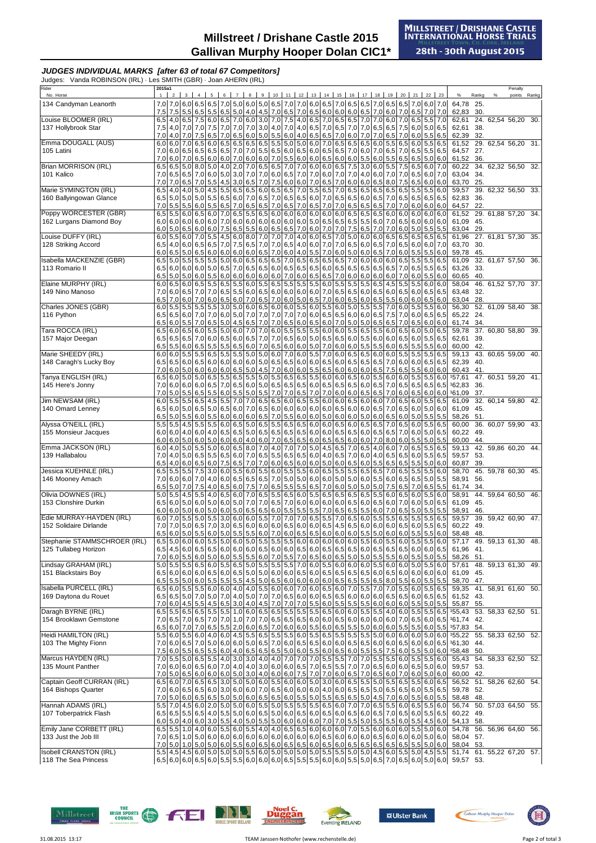## **JUDGES INDIVIDUAL MARKS [after 63 of total 67 Competitors]** Judges: Vanda ROBINSON (IRL) · Les SMITH (GBR) · Joan AHERN (IRL)

| Rider                                                | 2015a1<br>$\mathbf{1}$ | $\overline{2}$ | 3 <sub>1</sub>                 | 4                    |                                                                                                                                                                                                                    |           | 7 <sup>1</sup>         | 8                                                                                 | 9 <sub>1</sub> |                                        |                   |         |                                  |     |     |                                       |                  |            |                                              |                   | 21        |                      |                      | $\%$                                                                                                                                                                                                                                                                                                                                               |                | Penalty                   |       |
|------------------------------------------------------|------------------------|----------------|--------------------------------|----------------------|--------------------------------------------------------------------------------------------------------------------------------------------------------------------------------------------------------------------|-----------|------------------------|-----------------------------------------------------------------------------------|----------------|----------------------------------------|-------------------|---------|----------------------------------|-----|-----|---------------------------------------|------------------|------------|----------------------------------------------|-------------------|-----------|----------------------|----------------------|----------------------------------------------------------------------------------------------------------------------------------------------------------------------------------------------------------------------------------------------------------------------------------------------------------------------------------------------------|----------------|---------------------------|-------|
| No. Horse<br>134 Candyman Leanorth                   |                        |                |                                |                      | 5 <sub>1</sub><br>7,0 $ 7,0 $ 6,0 $ 6,5 $ 6,5 $ 7,0 $ 5,0 $ 6,0 $ 5,0 $ 6,5 $ 7,0 $ 7,0 $ 6,0 $ 6,5 $ 7,0 $ 6,5 $ 7,0 $ 6,5 $ 6,5 $ 7,0 $ 6,5 $ 7,0 $ 6,0 $ 7,0 $                                                  | $6-1$     |                        |                                                                                   |                |                                        | $10$ 11           |         | 12  13  14                       |     | 15  | 16                                    | 17               | 18         | 19 20                                        |                   |           | 22                   | 23                   | 64,78                                                                                                                                                                                                                                                                                                                                              | Rankg<br>- 25. | points                    | Rankg |
|                                                      | 7.5                    | 7,5            |                                |                      | 5,5 6,5 5,5 6,5 5,0 4,0 4,5                                                                                                                                                                                        |           |                        |                                                                                   |                |                                        | 7,0 6,5           |         | 7,0 6,5 6,0                      |     |     | 6,0 6,0 6,5 7,0 6,0 7,0 6,5 7,0 7,0   |                  |            |                                              |                   |           |                      |                      | 62,83                                                                                                                                                                                                                                                                                                                                              | 30.            |                           |       |
| Louise BLOOMER (IRL)                                 |                        |                |                                |                      | 6,5 4,0 6,5 7,5 6,0 6,5 7,0 6,0 3,0 7,0 7,5                                                                                                                                                                        |           |                        |                                                                                   |                |                                        |                   |         | $4,0$ 6,5 7,0                    |     |     | 6,5 6,5 7,0 7,0 6,0 7,0 6,5 5,5 7,0   |                  |            |                                              |                   |           |                      |                      | 62,61                                                                                                                                                                                                                                                                                                                                              |                | 24. 62,54 56,20           | 30.   |
| 137 Hollybrook Star                                  | 7,5                    |                | 4,0 7,0 7,0                    |                      | 7,5                                                                                                                                                                                                                |           | 7,0 7,0                | 7,0 3,0                                                                           |                |                                        | $4,0$ 7,0         |         | $4,0$ 6,5 7,0                    |     |     | 6,5 7,0 7,0 6,5                       |                  |            | $6,5$ 7,5 6,0 5,0 6,5                        |                   |           |                      |                      | 62,61                                                                                                                                                                                                                                                                                                                                              | 38.            |                           |       |
| Emma DOUGALL (AUS)                                   | 7.0<br>6,0             | 4,0<br>6,0     |                                | 7,0 7,5<br>$7.0$ 6.5 | 6,5<br>6,0                                                                                                                                                                                                         |           | 7,0 6,5<br>6,5 6,5     | 6,0<br>6,5                                                                        | 5,0<br>6,5     | 5,5 6,0 <br>$5,5$ 5,0                  |                   |         | $4,0$ 6,5<br>$5,0$ 6,0 7,0       | 6,5 |     | $7,0$ 6,0<br>6,5 6,5                  | 7,0<br>6,5       | 7,0 6,5    | $6.0$ 5.5 6.5                                | 7,0               | $6,0$ 5.5 |                      | 6,5<br>$6.0$ 5.5 6.5 | 62,39<br>61,52                                                                                                                                                                                                                                                                                                                                     | 32.            | 29. 62,54 56,20           | 31.   |
| 105 Latini                                           | 7,0                    |                | 6.0 6.5 6.5                    |                      | 6,5                                                                                                                                                                                                                |           |                        | $6,5$ 7,0 7,0 5,5                                                                 |                |                                        |                   |         | 6,5 6,0 6,5 6,0 6,5              |     |     | 6,5 7,0 6,0 7,0 6,5                   |                  |            |                                              | 7,0               |           | $6,5$ 5,5            | 6,5                  | 64,57                                                                                                                                                                                                                                                                                                                                              | 27.            |                           |       |
|                                                      | 7.0                    | 6,0            | 7,0                            | 6,5                  | 6,0                                                                                                                                                                                                                |           | $6,0$ 7,0              | 6,0                                                                               | 6,0            | 7,0                                    | 5,5               |         | $6,0$ 6,0                        | 6,5 |     | 6,06,0                                | 5,5              | 6,0        | 5,5                                          | 6,5               |           | $6,5$ 5,0            | 6,0                  | 61,52                                                                                                                                                                                                                                                                                                                                              | 36.            |                           |       |
| Brian MORRISON (IRL)                                 | 6,5                    |                | $6,5$ 5,0 8,0                  |                      | 5,0                                                                                                                                                                                                                |           | $4,0$ 2,0              | 7,0                                                                               | 6,5            | $6,5$ 7,0                              |                   |         | $7,0$ 6,0 6,0                    |     |     | $6,5$ 7,5                             | 3,0              |            | $6,0$ 5,5 7,5                                |                   |           |                      | 6,5 6,0 7.0          | 60,22                                                                                                                                                                                                                                                                                                                                              |                | 34. 62,32 56,50 32.       |       |
| 101 Kalico                                           | 7,0                    |                | $6,5$ 6.5 7.0                  |                      | 6,0                                                                                                                                                                                                                |           | $5,0$ 3,0              | 7,0                                                                               | 7,0            | 6,0 6,5                                |                   |         | $7,0$ 7,0                        | 6,0 |     | 7,0 7,0                               | 4,0              |            | 6,0 7,0 7,0 6,5 6,0 7,0                      |                   |           |                      |                      | 63,04                                                                                                                                                                                                                                                                                                                                              | 34.            |                           |       |
| Marie SYMINGTON (IRL)                                | 7,0<br>6,5             | 7,0            | 4.0 4.0 5.0                    | $6,5$ 7.0            | 5,5<br>$4,5$ 5,5 6,5                                                                                                                                                                                               |           | $4,5$ 3,0              | 6,5<br>6,5                                                                        | 7,0<br>6,0     | 7,5                                    | 6,0               | 6,0     | 7,0<br>6,5 6,5 7,0 5,5 6,5       | 6,5 | 7,0 | 6,0<br>7,0 6,5                        | 6,0<br>6,5       | 6,5<br>6,5 | 8,0<br>$6,5$ 6.5 5.5 5.5 6.0                 | 7,5               | 6,5       | 6,0 6,0              |                      | 63,70<br>59,57                                                                                                                                                                                                                                                                                                                                     | 25.            | 39. 62,32 56,50 33.       |       |
| 160 Ballyingowan Glance                              | 6,5                    | 5,0            |                                | $5.0$ $5.0$          | 5,5                                                                                                                                                                                                                |           |                        | $6,5$ 6,0 7,0                                                                     | 6,5            |                                        |                   |         | $7,0$ 6,5 6,5 6,0                | 7,0 |     | $6,5$ 6,5                             | 6,0              | 6,5        | 7,0 6,5 6,5 6,5 6,5                          |                   |           |                      |                      | 62,83                                                                                                                                                                                                                                                                                                                                              | 36.            |                           |       |
|                                                      | 7,0                    | 5,5            | 5,5                            | 6,0                  | 5,5                                                                                                                                                                                                                | 6,5       | 7,0                    | 6,5                                                                               | 6,5            |                                        | 7,0 6,5           |         | $7,0$ 6,5                        | 7,0 | 7,0 | 6,5                                   | 6,5              | 6,5        | 7,0 7,0 6,0 6,0 6,0                          |                   |           |                      |                      | 64,57                                                                                                                                                                                                                                                                                                                                              | 22.            |                           |       |
| Poppy WORCESTER (GBR)                                |                        |                |                                |                      | $6,5$ 5,5 6,0 6,5 6,0                                                                                                                                                                                              |           | $7,0$ 6,5              | 5,5                                                                               |                | $6,5$ 6,0 6,0 6,0 6,0 6,0 6,0          |                   |         |                                  |     |     | $6,0$ 6,5                             | 6,5              |            | $6,5$ 6,0 6,0 6,0 6,0 6,0                    |                   |           |                      |                      | 61.52                                                                                                                                                                                                                                                                                                                                              |                | 29. 61,88 57,20 34.       |       |
| 162 Lurgans Diamond Boy                              | 6,0                    | 6,0 5,0        | 6.0 6.0 6.0                    | $6.5 \, 6.0$         | 6,0<br>6,0                                                                                                                                                                                                         | 7,5       | 6,5                    | 7,0 6,0 6,0 6,0 6,0 6,0 6,0 5,0 6,5<br>5,5                                        |                | $6,0$ 6,5 6,5                          |                   |         | $7.0$ 6.0 $7.0$                  |     |     | 6,5 6,5<br>7,0 7,5                    | 5,5<br>6,5       | 7,0        | $6,0$ 7,0 6,5 6,0 6,0 6,0<br>7,0 6,0         |                   |           | $5,0$ 5,5 5,5        |                      | 61,09<br>63,04                                                                                                                                                                                                                                                                                                                                     | 45.<br>29.     |                           |       |
| Louise DUFFY (IRL)                                   | 6,0                    | 5,5            |                                | $6,0$ 7.0            | 5,5                                                                                                                                                                                                                |           | $4,5$ 6,0              | 8,0                                                                               | 7,0            | $7,0$ 7,0                              |                   |         | $4,0$ 6,0 6,5                    |     |     | $7,0$ 5,0                             | 6,0              |            | $6,0$ 6,5 6,5                                |                   |           |                      | $6,5$ 6,5 6,5        | 61,96                                                                                                                                                                                                                                                                                                                                              |                | 27. 61,81 57,30 35.       |       |
| 128 Striking Accord                                  | 6,5                    |                | $4,0$ 6,0 6,5                  |                      | 6,5                                                                                                                                                                                                                |           | 7,0 7,5                | 6,5                                                                               | 7,0            |                                        | 7,0 6,5           |         | $4,0$ 6,0 7,0                    |     |     | 7,0 6,5                               | 6,0              | 6,5        | 7,0 6,5 6,0 6,0 7,0                          |                   |           |                      |                      | 63,70                                                                                                                                                                                                                                                                                                                                              | 30.            |                           |       |
|                                                      | 6,0                    |                | $6,5$ 5.0 6.5                  |                      | 6,0                                                                                                                                                                                                                |           | $6,0$ 6.0              | 6,0                                                                               | 6,5            |                                        | 7.0 6,0           |         | 4,05,5                           | 7,0 |     | 6,0,5,0                               | 6,0              | 6,5        | 7,06,0                                       |                   |           | $5,5$ 5,5            | 6,0                  | 59,78                                                                                                                                                                                                                                                                                                                                              | 45.            |                           |       |
| Isabella MACKENZIE (GBR)<br>113 Romario II           | 6,5<br>6,5             | 5,0            | $6,0$ 6,0 6,0                  | $5,5$ 5.5            | 5,5<br>5,0                                                                                                                                                                                                         | 5,06,0    | $6,5$ 7,0              | 6,5<br>6,5                                                                        | 6,5            | $6.5$ 6,5 7,0                          |                   |         | $6,5$ 6,5<br>6,0 6,5 6,5 6,5 6,0 | 6,5 |     | $6,5$ 7,0<br>$6,5$ 6,5 6,5            | 6,0              | 6,0<br>6,5 | 6,0<br>$6,5$ 7,0 6,5 5,5 6,5                 | 6,5               |           | $5,5$ 5.5 6.5        |                      | 61,09<br>63,26                                                                                                                                                                                                                                                                                                                                     | 33.            | 32. 61,67 57,50 36.       |       |
|                                                      | 6,5                    | 5,0            |                                | $5,0$ 6.0            | 5,5                                                                                                                                                                                                                |           | $6,0$ 6,0              | 6,0                                                                               | 6,0            |                                        | $6,0$ 7,0         | 6,0 6,5 |                                  | 6,5 |     | $7,0$ 6,0                             | 6,0              | 6,0        | $6,0$ 7,0                                    |                   | 6,0 5,5   |                      | 6,0                  | 60,65                                                                                                                                                                                                                                                                                                                                              | 40.            |                           |       |
| Elaine MURPHY (IRL)                                  | 6,0                    | 6,5            |                                | $6,0$ 6.5            | 5,5                                                                                                                                                                                                                | 6,5       | 5,5                    | 6,0                                                                               | 5,5            | 6,5                                    | 5,5               |         | $5,5$ 5,5                        | 6,0 | 5,5 | 5,5                                   | 5,5              | 6,5        | 4,5                                          | 5,5               |           | $5,5$ 6,0 6.0        |                      | 58,04                                                                                                                                                                                                                                                                                                                                              |                | 46. 61,52 57,70 37.       |       |
| 149 Nino Manoso                                      | 7.0                    |                | $6,0$ 6.5 7.0                  |                      | 7,0                                                                                                                                                                                                                |           |                        | $6,5$ 5,5 6,0                                                                     | 6,5            |                                        |                   |         | 6,0 6,0 6,0 6,0                  | 7,0 | 6,5 | $6,5$ 6,0                             |                  |            | $6,5$ 6,0 6,5 6,0 6,5 6,5                    |                   |           |                      |                      | 63,48                                                                                                                                                                                                                                                                                                                                              | 32.            |                           |       |
| Charles JONES (GBR)                                  | 6,5                    |                | 7,0 6,0 7,0                    |                      | 6,0<br>$6,0$ 5,5 5,5 5,5 5,5                                                                                                                                                                                       | 3,0,5,0   | 6,56,0                 | 7,0<br>6,0                                                                        | 6,5            | $6,5$ 6,0 6,0 5,5 6,0 5,5              | 7,0 6,0           |         | $5,0$ 6,5                        | 7,0 |     | $6,0$ 6.5<br>6,0,5,0                  | 6,0<br>5,5       | 6,5<br>5,5 | $5,5$ 6,0<br>$7,0$ 6,0 5,5 5,5               |                   |           | $6,0$ 6,5 6,0        | 6,0                  | 63,04<br>56,30                                                                                                                                                                                                                                                                                                                                     | 28.            | 52. 61,09 58,40           | - 38. |
| 116 Python                                           | 6,5                    | 6,5            |                                | $6,0$ 7.0            | 7,0                                                                                                                                                                                                                |           | $6,0$ 5,0              | 7,0                                                                               | 7,0            |                                        | $7,0$ 7.0         |         | $7,0$ 6,0                        | 6,5 |     | $6,5$ 6,0                             | 6,0              | 6,5        | 7,5                                          | 7,0               |           |                      | $6,0$ 6,5 6,5        | 65,22                                                                                                                                                                                                                                                                                                                                              | 24.            |                           |       |
|                                                      | 6,5                    | 6,0            |                                | 5,5 7,0              | 6,5                                                                                                                                                                                                                | $5,0$ 4.5 |                        | 6,5                                                                               | 7,0            |                                        | 7,0 6,5           |         | 6,06,5                           | 6,0 |     | $7,0$ 5,0                             | 5,0              | 6,5        | $6,5$ 7,0                                    |                   |           |                      | $6,5$ 6,0 6,0        | 61,74                                                                                                                                                                                                                                                                                                                                              | 34.            |                           |       |
| Tara ROCCA (IRL)                                     |                        |                | 6.5 6.0 6.5 6.0                |                      | 5,5                                                                                                                                                                                                                |           | 5,0 6,0                | 7,0                                                                               | 7,0            | 6,0 5,5                                |                   |         | 5,5 5,5                          | 6,0 |     | $6,0$ 5,5                             | 6,5              | 5,5        | 6.0 6.5 6.0 5.0 6.5                          |                   |           |                      |                      | 59,78                                                                                                                                                                                                                                                                                                                                              |                | 37. 60,80 58,80           | 39.   |
| 157 Major Deegan                                     | 6,5<br>6,5             |                | $6,5$ 6.5 7.0<br>5,5 6,0 6,5   |                      | 6,0<br>5,5                                                                                                                                                                                                         |           | $6,5$ 6,0<br>$5,5$ 6,5 | 6,5                                                                               |                | 7,0 7,0 6,5 6,0 5,0<br>6,0 7,0 6,5 6,0 |                   |         | $6,0$ 5,0 7,0                    | 6,5 |     | $6,5$ 6,0<br>$6,0$ 6,0                | 5,5<br>5,5       | 5,5        | $6,0$ 6,0 6,5 6,0 5,5 6,5<br>$6,0$ 6,5       |                   |           |                      | $5,5$ 5,5 6,0        | 62,61<br>60,00                                                                                                                                                                                                                                                                                                                                     | 39.<br>42.     |                           |       |
| Marie SHEEDY (IRL)                                   |                        |                | 6,0 6,0 5,5 5,5                |                      | $6,5$ 5,5 5,5                                                                                                                                                                                                      |           |                        |                                                                                   |                | $5.0$ 5.0 6.0 7.0 6.0 5.5              |                   |         |                                  | 7,0 |     | $6,0$ 6,5 6,5                         |                  |            | $6,0$ 6,0 5,5 5,5 5,5 6,5                    |                   |           |                      |                      | 59,13                                                                                                                                                                                                                                                                                                                                              |                | 43. 60,65 59,00           | - 40. |
| 148 Caragh's Lucky Boy                               | 6,5                    |                | 6,5 6,0 6,5                    |                      | 6,0                                                                                                                                                                                                                | $6,0$ 6.0 |                        | 6,0                                                                               | 5,0            |                                        | $6,5$ 6,5         |         | $6,0$ 6,0                        | 6,5 |     | 6,0 6,5                               | 6,5              | 6,5        | 7,0 6,0 6,0 6,5                              |                   |           |                      | 6,5                  | 62,39                                                                                                                                                                                                                                                                                                                                              | 40.            |                           |       |
|                                                      | 7.0                    |                | $6,0$ 5,0 6,0                  |                      | 6,0                                                                                                                                                                                                                |           | $6,0$ 6.5              | 5,0                                                                               | 4,5            |                                        | 7,0 6,0           |         | 6,0 5,5                          | 6,5 |     | $6,0$ 6,0                             | 6,0 6,5          |            | 7,5                                          | $6,5$ 5,5 6,0 6,0 |           |                      |                      | 60,43                                                                                                                                                                                                                                                                                                                                              | 41.            |                           |       |
| Tanya ENGLISH (IRL)                                  | 6,5<br>7,0             |                | $6.0$ 5.0 5.0                  |                      | $6,5$ 5,5 6,5                                                                                                                                                                                                      |           |                        | 5,5                                                                               | 5,0            | 5,5 6,5                                |                   |         | $6,5$ 5,5                        | 6,0 |     | 6,0 6,5                               | 6,0              | 5,5        | 6,0 6,0                                      |                   |           |                      | 5,5 5,5 6.0          | 157,61                                                                                                                                                                                                                                                                                                                                             |                | 47. 60,51 59,20 41.       |       |
| 145 Here's Jonny                                     | 7,0                    | 5,0            | 6.0 6.0 6.0                    | $5,5$ 6,5            | 6,5<br>$5,5$ 6,0 5,5                                                                                                                                                                                               |           |                        | 7,0 6,5 6,0 5,0<br>5,0                                                            | 5,5            |                                        | 7,0 7,0 6,5 7,0   |         | 6,5 6,5 6,5 6,0 6,5              | 7,0 |     | 6,5 6,5<br>6,06,0                     | $6,0$ 6,5<br>6,5 | 6,5        | 7,0 6,5 6,5 6,5<br>7,0 6,0 6,5 6,0 6,0       |                   |           |                      | 6,5                  | 162,83<br>161,09                                                                                                                                                                                                                                                                                                                                   | 36.<br>37.     |                           |       |
| Jim NEWSAM (IRL)                                     | 6,0                    |                | $5.5$ 5.5 6.5                  |                      | 4,5                                                                                                                                                                                                                |           |                        | 5,5 7,0 7,0                                                                       | 6,5            | 6,5                                    | 6,0               |         | $6,5$ 5,5 6,0                    |     |     | 6,0 6,5                               | 6,0 6,0          |            | 7,0                                          | 6,5               |           |                      | $6,0$ 5,5 6,5        | 61,09                                                                                                                                                                                                                                                                                                                                              |                | 32. 60,14 59,80 42.       |       |
| 140 Omard Lenney                                     | 6,5                    |                | 6.0 5.0 6.5                    |                      | 5,0                                                                                                                                                                                                                |           |                        | $6,5$ 6,0 7,0                                                                     | 6,5            |                                        | $6,0$ 6,0 6,0 6,0 |         |                                  | 6,0 |     | $6,5$ 6,0                             | 6,0 6,5          |            | 7,0 6,5 6,0 5,0 6,0                          |                   |           |                      |                      | 61,09                                                                                                                                                                                                                                                                                                                                              | 45.            |                           |       |
|                                                      | 6,5                    |                | $5,0$ 5,5 6,0                  |                      | 5,5                                                                                                                                                                                                                |           | 6,0 6,0                | 6,0                                                                               | 6,5            |                                        | $7,0$ 5,5         |         | $6,0$ 6,0                        | 5,0 |     | 6,06,0                                | 5,0              | 6,0        | 6,5                                          | $6,0$ 5,0 5,5     |           |                      | 5,5                  | 58,26                                                                                                                                                                                                                                                                                                                                              | 51.            |                           |       |
| Alyssa O'NEILL (IRL)<br>155 Monsieur Jacques         | 6,0                    |                | $6.0$ 4.0 6.0                  |                      | 5,5 5,5 4,5 5,5 5,5 6,0 6,5 5,0 6,5 5,5 6,5 6,5 6,0 6,0<br>4,0                                                                                                                                                     |           | $6,5$ 6,5              | 5,0                                                                               | 6,5            |                                        | $6,5$ 6,5 6,5 6,0 |         |                                  | 6,0 |     | $6,5$ 6,0<br>$6,5$ 6,5                | 6,5<br>6,0       | 6,5<br>6,5 | 7,0 6,5 6,0 5,5 6,5<br>$6,5$ 7,0 6,0 5,0 6,5 |                   |           |                      |                      | 60,00<br>60,22                                                                                                                                                                                                                                                                                                                                     | 49.            | 36. 60,07 59,90 43.       |       |
|                                                      |                        |                | 6.0 6.0 5.0 6.0                |                      | 5,0                                                                                                                                                                                                                | 6,0       | 6,0                    | 4,0                                                                               | 6,0            |                                        | 7,0 6,5           | 6,5     | 6,0                              | 6,5 | 6,5 | 6,0                                   | 6,0              | 7,0        | 8.0 6.0                                      |                   | 5,5       | $5,0$ 5.5            |                      | 60,00                                                                                                                                                                                                                                                                                                                                              | 44.            |                           |       |
| Emma JACKSON (IRL)                                   |                        |                | 6,0 4,0 5,0 5,5                |                      |                                                                                                                                                                                                                    |           |                        | 5,0 6,0 6,5 8,0 7,0                                                               |                | $4,0$ 7,0                              |                   | 7,0     | 5,0                              | 4,5 |     | $6,5$ 7,0 6,5                         |                  |            | 4,0 6,0 7,0 6,5                              |                   |           |                      | $5,5$ 6,5            | 59,13                                                                                                                                                                                                                                                                                                                                              |                | 42. 59,86 60,20 44.       |       |
| 139 Hallabalou                                       | 7,0                    |                | 4,0 5,0 6,5                    |                      | 5,5                                                                                                                                                                                                                |           |                        | $6,5$ 6,0 7,0                                                                     | 6,5            |                                        | $5,5$ 6,5         |         | $6,5$ 6,0                        | 4,0 |     | $6,5$ 7,0                             | 6,0              | 4,0        | $6,5$ 6,5 6,0 5,5 6,5                        |                   |           |                      |                      | 59,57                                                                                                                                                                                                                                                                                                                                              | 53.            |                           |       |
| Jessica KUEHNLE (IRL)                                | 6,5<br>6,5             |                | $4,0$ 6,0 6,5<br>$5,5$ 5,5 7,5 |                      | 6,0<br>$3,0$ 6,0 5,5                                                                                                                                                                                               |           | 7,5 6,5                | $7,0$ 7,0<br>6,0                                                                  | 5,5            | 6,0 5,5                                | 6,0 6,5           |         | $6,0$ 6,0 5,0<br>$5,5$ 6,0       | 6,5 |     | 6,0 6,5<br>$5,5$ 5,5                  | 6,0<br>6,5       | 5,5<br>6,5 | $6,5$ 6,5<br>$7,0$ 6,5 5,5                   |                   |           | $5,5$ 5,0 6,0<br>5,5 | 6,0                  | 60,87<br>58,70                                                                                                                                                                                                                                                                                                                                     | 39.            | 45. 59,78 60,30 45.       |       |
| 146 Mooney Amach                                     | 7.0                    | 6,0            |                                | 6.0 7.0              | 4,0                                                                                                                                                                                                                | 6,0       | 6,5                    | 6,5                                                                               | 6,5            | 7,0                                    | 5,0               |         | $5,0$ 6,0                        | 6,0 |     | 5,05,0                                | 6,0              | 5,5        | $6,0$ 6,5                                    |                   |           | $6,5$ 5,0 5,5        |                      | 58,91                                                                                                                                                                                                                                                                                                                                              | 56.            |                           |       |
|                                                      | 6,5                    | 5,0            |                                | $7,0$ 7,5            | 4,0                                                                                                                                                                                                                | 6,5       | 6,0                    | 7,5                                                                               | 7,0            | 6,5                                    | 5,5               | 5,5     | 6,5                              | 7,0 |     | 6,05,0                                | 5,0              | 5,0        | 7,5                                          | 6,5               | $7,0$ 6,5 |                      | 5,5                  | 61,74                                                                                                                                                                                                                                                                                                                                              | 34.            |                           |       |
| Olivia DOWNES (IRL)                                  | 5,0                    |                | $5,5$ 4,5 $5,5$                |                      | 4,0                                                                                                                                                                                                                |           | 6,56,0                 | 7,0                                                                               | 6,5            |                                        | $5,5$ 6,5         |         | $6,0$ 5.5                        | 6,5 |     | 6,5 6,5                               | 6,5              | 5,5        | 6,06,5                                       |                   |           | $6.0$ 5.5 6.0        |                      | 58,91                                                                                                                                                                                                                                                                                                                                              |                | 44. 59,64 60,50 46.       |       |
| 153 Clonshire Durkin                                 | 6,5<br>6,0             | 6,0            | $6,0$ 5,0 6,0                  | $5,0$ 6.0            | 5,0<br>5,0                                                                                                                                                                                                         |           | $6,0$ 5,0<br>$6,0$ 5,0 | 7,0<br>6,5                                                                        | 7,0<br>6,5     | 6,0                                    | 5,5               | 5,5     | $6,5$ 7,0 6,0 6,0 6,0<br>5,5     | 7,0 | 6,5 | $6,0$ 6,5 6,0<br>6,5                  | 5,5              | 6,5<br>6,0 | 6,0 7,0 6,0 5,0 6,5<br>7,0                   | 6,5               | $5,0$ 5,5 |                      | 5,5                  | 61,09<br>58,91                                                                                                                                                                                                                                                                                                                                     | 45.<br>46.     |                           |       |
| Edie MURRAY-HAYDEN (IRL)                             |                        | $6,0$ 7.0      |                                | $5,5$ 5,0            | 5,5                                                                                                                                                                                                                | 3,0       | 6,0                    | 6,0                                                                               | 5,5            | 7,0                                    | 7,0               | 7,0     | 6,5                              | 5,5 | 7,0 | 6,5                                   | 6,0              | 5,5        | 5,5                                          | 6,5               | 5,5       | 5,5                  | 6,5                  | 59,57                                                                                                                                                                                                                                                                                                                                              |                | 39. 59,42 60,90           | - 47. |
| 152 Solidaire Dirlande                               | 7.0                    |                | 7,0 5,0 6,5                    |                      | 7,0                                                                                                                                                                                                                |           |                        | $3,0$ 6,5 6,0 6,0 6,0 6,5 6,0 6,0 6,5                                             |                |                                        |                   |         |                                  |     |     | 4,5 6,5 6,0 6,0 6,0 6,5 6,0 5,5 6,5   |                  |            |                                              |                   |           |                      |                      | 60,22 49.                                                                                                                                                                                                                                                                                                                                          |                |                           |       |
|                                                      | 6.5                    |                | $6,0$ 5,0 5,5                  |                      | 6,0                                                                                                                                                                                                                |           |                        | 5,0 5,5 5,5 6,0 7,0 6,0 6,5 6,5 6,0 6,0 6,0 5,5 5,0 6,0 6,0 5,5 5,5 6,0           |                |                                        |                   |         |                                  |     |     |                                       |                  |            |                                              |                   |           |                      |                      | 58,48 48                                                                                                                                                                                                                                                                                                                                           |                |                           |       |
| Stephanie STAMMSCHROER (IRL)<br>125 Tullabeg Horizon |                        |                |                                |                      |                                                                                                                                                                                                                    |           |                        |                                                                                   |                |                                        |                   |         |                                  |     |     |                                       |                  |            |                                              |                   |           |                      |                      | 61,96 41.                                                                                                                                                                                                                                                                                                                                          |                | 57,17 49. 59,13 61,30 48. |       |
|                                                      |                        |                |                                |                      | 7,0 6,0 5,5 6,0 5,0 6,0 5,5 6,0 5,5 6,0 7,0 5,5 7,0 6,5 6,0 6,5 5,0 5,0 5,5 5,5 6,0 5,5 5,0 5,5                                                                                                                    |           |                        |                                                                                   |                |                                        |                   |         |                                  |     |     |                                       |                  |            |                                              |                   |           |                      |                      | 58,26 51.                                                                                                                                                                                                                                                                                                                                          |                |                           |       |
| Lindsay GRAHAM (IRL)                                 |                        |                |                                |                      | 5,0 5,5 6,0 5,5 6,0 5,6 6,0 5,5 6,0 5,5 6,6 5,0 5,5 5,5 7,0 6,0 5,5 6,0 6,0 5,5 6,0 6,0 5,0 5,0 5,5 6,0                                                                                                            |           |                        |                                                                                   |                |                                        |                   |         |                                  |     |     |                                       |                  |            |                                              |                   |           |                      |                      | 57,61                                                                                                                                                                                                                                                                                                                                              |                | 48. 59,13 61,30 49.       |       |
| 151 Blackstairs Boy                                  |                        |                |                                |                      | $6,5$ 6,0 6,0 6,0 6,0 6,5 6,0 6,5 6,0 6,5 5,0 6,0 6,0 6,0 6,5 6,0 6,5 6,5 6,5 6,5 6,0 6,5 6,0 6,0 6,0 6,0 6,0 6,0                                                                                                  |           |                        |                                                                                   |                |                                        |                   |         |                                  |     |     |                                       |                  |            |                                              |                   |           |                      |                      | 61,09 45.                                                                                                                                                                                                                                                                                                                                          |                |                           |       |
| Isabella PURCELL (IRL)                               |                        |                |                                |                      | $6,5$ 5,5 5,0 6,0 5,5 5,5 5,5 4,5 5,0 6,5 6,0 6,0 6,0 6,0 6,0 6,5 6,5 5,5 6,5 8,0 5,5 6,0 5,5 6,0 5,5 5,5                                                                                                          |           |                        |                                                                                   |                |                                        |                   |         |                                  |     |     |                                       |                  |            |                                              |                   |           |                      |                      | 58,70<br>59,35                                                                                                                                                                                                                                                                                                                                     | 47.            | 41. 58,91 61,60 50.       |       |
| 169 Daytona du Rouet                                 |                        |                |                                |                      | 6,5 6,5 5,0 7,0 5,0 7,0 4,0 5,0 7,0 7,0 6,5 6,0 6,0 6,5                                                                                                                                                            |           |                        |                                                                                   |                |                                        |                   |         |                                  |     |     | $6,5$ 6,0 6,0 6,0 6,5 6,5 6,0 6,5 6,5 |                  |            |                                              |                   |           |                      |                      | 61,52 43.                                                                                                                                                                                                                                                                                                                                          |                |                           |       |
|                                                      |                        |                |                                |                      | $7,0$ 6,0 4,5 5,5 4,5 6,5 3,0 4,0 4,5 7,0 7,0 7,0 5,5 6,0                                                                                                                                                          |           |                        |                                                                                   |                |                                        |                   |         |                                  |     |     | $5,5$ 5,5 5,5 6,0 6,0 6,0 5,5 5,0 5,5 |                  |            |                                              |                   |           |                      |                      | 55,87                                                                                                                                                                                                                                                                                                                                              | 55.            |                           |       |
| Daragh BYRNE (IRL)                                   |                        |                |                                |                      | 6,5 6,5 6,5 6,5 6,5 5,5 5,5 1,0 6,0 6,5 6,5 5,5 5,5 5,5 6,5 6,0 6,0 5,5 5,5 4,0 6,0 5,5 5,5 6,5                                                                                                                    |           |                        |                                                                                   |                |                                        |                   |         |                                  |     |     |                                       |                  |            |                                              |                   |           |                      |                      | 155,43                                                                                                                                                                                                                                                                                                                                             |                | 53. 58,33 62,50 51.       |       |
| 154 Brooklawn Gemstone                               |                        |                |                                |                      | 7,0 6,5 7,0 6,5 7,0 6,5 7,0 7,0 1,0 7,0 7,0 6,5 6,5 6,5 6,5 6,0 6,0 6,5 6,0 6,0 6,0 6,0 7,0 6,5 6,0 6,5 6,0<br>$6,5$ 6,0 7,0 7,0 6,5 5,5 2,0 6,0 6,5 7,0 6,0 6,0 5,5 6,0 6,5 5,5 5,0 6,0 6,0 5,5 5,5 6,0 5,5       |           |                        |                                                                                   |                |                                        |                   |         |                                  |     |     |                                       |                  |            |                                              |                   |           |                      |                      | 161,74<br>157,83                                                                                                                                                                                                                                                                                                                                   | 42.<br>54.     |                           |       |
| Heidi HAMILTON (IRL)                                 |                        |                |                                |                      | 5,5 6,0 5,5 6,0 4,0 6,0 4,5 5,5 6,5 5,5 5,5 6,0 5,5 6,5 5,5 5,5 5,5 5,0 6,0 6,0 6,0 6,0 5,0 6,0                                                                                                                    |           |                        |                                                                                   |                |                                        |                   |         |                                  |     |     |                                       |                  |            |                                              |                   |           |                      |                      | 155,22                                                                                                                                                                                                                                                                                                                                             |                | 55. 58,33 62,50 52.       |       |
| 103 The Mighty Fionn                                 |                        |                |                                |                      | 7,0 6,0 6,5 7,0 5,0 6,0 6,0 6,0 5,0 6,5 7,0 6,0 6,5 6,5 6,0 6,0 6,5 6,0 6,5 6,0 6,0 6,5 6,0 6,0 6,0 6,5                                                                                                            |           |                        |                                                                                   |                |                                        |                   |         |                                  |     |     |                                       |                  |            |                                              |                   |           |                      |                      | 161,30                                                                                                                                                                                                                                                                                                                                             | 44.            |                           |       |
|                                                      |                        |                | 7,5 6,0 5,5 6,5                |                      |                                                                                                                                                                                                                    |           |                        | $5,5$ 6,0 4,0 6,5 6,5 6,5 5,0 6,0 5,5 6,0 6,5 6,0 5,5 5,5 7,5 6,0 5,5 5,0 6,0 6,0 |                |                                        |                   |         |                                  |     |     |                                       |                  |            |                                              |                   |           |                      |                      | 158,48                                                                                                                                                                                                                                                                                                                                             | 50.            |                           |       |
| Marcus HAYDEN (IRL)<br>135 Mount Panther             |                        |                |                                |                      | 7,0 5,5 5,0 6,5 5,5 4,0 3,0 3,0 4,0 4,0 7,0 7,0 7,0 5,5 5,5 7,0 7,0 5,5 5,5 6,0 5,5 5,5 6,0<br>$7,0 6,0 6,0 6,5 6,0 7,0 4,0 4,0 3,0 6,0 6,0 6,5 7,0 6,5 $                                                          |           |                        |                                                                                   |                |                                        |                   |         |                                  |     |     | 5,5 7,0 7,0 6,5 6,0 6,0 6,5 5,0 6,0   |                  |            |                                              |                   |           |                      |                      | 59,57 53.                                                                                                                                                                                                                                                                                                                                          |                | 55,43 54. 58,33 62,50 52. |       |
|                                                      |                        |                |                                |                      |                                                                                                                                                                                                                    |           |                        |                                                                                   |                |                                        |                   |         |                                  |     |     |                                       |                  |            |                                              |                   |           |                      |                      | 60,00                                                                                                                                                                                                                                                                                                                                              | 42.            |                           |       |
| Captain Geoff CURRAN (IRL)                           |                        |                |                                |                      | 6,5 6,0 7,0 6,5 6,5 3,0 5,0 5,0 6,0 5,5 6,0 6,0 5,0 3,0 6,0 6,5 5,5 5,0 5,5 6,5 5,5 6,0 6,5 6,0 6,5                                                                                                                |           |                        |                                                                                   |                |                                        |                   |         |                                  |     |     |                                       |                  |            |                                              |                   |           |                      |                      | 56,52                                                                                                                                                                                                                                                                                                                                              |                | 51. 58,26 62,60 54.       |       |
| 164 Bishops Quarter                                  |                        |                |                                |                      | 7,0 6,0 6,5 6,5 6,6 6,0 3,0 6,0 6,0 7,0 6,5 6,0 6,0 6,0 6,0 6,0 6,0 6,5 6,5 6,0 6,5 6,5 6,6 6,0 5,5 6,5                                                                                                            |           |                        |                                                                                   |                |                                        |                   |         |                                  |     |     |                                       |                  |            |                                              |                   |           |                      |                      | 59,78 52.                                                                                                                                                                                                                                                                                                                                          |                |                           |       |
| Hannah ADAMS (IRL)                                   |                        |                |                                |                      | 7,0 5,0 6,0 6,5 6,5 6,5 5,0 5,0 6,0 6,5 6,5 6,0 5,5 5,0 5,5 6,5 6,5 6,5 5,0 4,5 7,0 6,0 5,5 6,0 5,5<br>5,5 7,0 4,5 6,0 2,0 5,0 5,0 6,0 5,5 5,5 5,0 5,5 5,5 6,5 6,5 6,0 7,0 7,0 6,5 5,5 6,0 6,5 5,5 6,0 6,5 5,5 6,0 |           |                        |                                                                                   |                |                                        |                   |         |                                  |     |     |                                       |                  |            |                                              |                   |           |                      |                      | 58,48<br>56,74                                                                                                                                                                                                                                                                                                                                     | 48.            | 50. 57,03 64,50 55.       |       |
| 107 Toberpatrick Flash                               |                        |                |                                |                      | $6,5$ 6,5 5,5 6,5 4,0 5,5 5,0 6,0 6,5 5,0 6,0 6,5 6,0 6,5 6,0 6,5 6,0 6,5 6,0 6,5 7,0 6,5 6,0 5,5 6,0 5,5 6,5                                                                                                      |           |                        |                                                                                   |                |                                        |                   |         |                                  |     |     |                                       |                  |            |                                              |                   |           |                      |                      | 60,22 49.                                                                                                                                                                                                                                                                                                                                          |                |                           |       |
|                                                      |                        |                |                                |                      | $6,0$ 5,0 4,0 6,0 3,0 5,5 4,0 5,0 5,0 5,5 5,0 6,0 6,0 6,0 7,0 7,0 5,5 5,0 5,5 5,5 6,0 5,5 4,5 6,0                                                                                                                  |           |                        |                                                                                   |                |                                        |                   |         |                                  |     |     |                                       |                  |            |                                              |                   |           |                      |                      | 54,13                                                                                                                                                                                                                                                                                                                                              | 58.            |                           |       |
| Emily Jane CORBETT (IRL)                             |                        |                |                                |                      | 6, 5 5, 5 1, 0 4, 0 6, 0 5, 5 6, 0 5, 5 4, 0 4, 0 6, 5 6, 5 6, 0 6, 0 6, 0 7, 0 5, 5 6, 0 6, 0 6, 0 5, 5 5, 0 6, 0                                                                                                 |           |                        |                                                                                   |                |                                        |                   |         |                                  |     |     |                                       |                  |            |                                              |                   |           |                      |                      | 54,78                                                                                                                                                                                                                                                                                                                                              |                | 56. 56,96 64,60 56.       |       |
| 133 Just the Job III                                 |                        |                |                                |                      | 7,0 5,0 1,0 5,0 5,0 6,0 6,0 5,5 6,0 6,5 6,0 6,5 6,5 6,0 6,5 6,0 6,5 6,0 6,5 6,5 6,5 6,5 6,5 5,5 5,0 6,0                                                                                                            |           |                        |                                                                                   |                |                                        |                   |         |                                  |     |     |                                       |                  |            |                                              |                   |           |                      |                      | 58,04 57.<br>58,04 53.                                                                                                                                                                                                                                                                                                                             |                |                           |       |
| <b>Isobell CRANSTON (IRL)</b>                        |                        |                |                                |                      | 5,5 4,5 4,5 6,0 5,0 5,0 5,0 5,0 5,5 6,0 5,0 5,0 5,0 5,0 5,0 5,5 5,5 5,0 5,0 4,5 6,0 5,5 5,0 4,5 5,5                                                                                                                |           |                        |                                                                                   |                |                                        |                   |         |                                  |     |     |                                       |                  |            |                                              |                   |           |                      |                      | 51,74                                                                                                                                                                                                                                                                                                                                              |                | 61. 55,22 67,20 57.       |       |
| 118 The Sea Princess                                 |                        |                |                                |                      |                                                                                                                                                                                                                    |           |                        |                                                                                   |                |                                        |                   |         |                                  |     |     |                                       |                  |            |                                              |                   |           |                      |                      | 6, $\overline{6}$ , $\overline{0}$ 6, $\overline{0}$ 6, $\overline{0}$ 6, $\overline{0}$ 5, $\overline{5}$ 5, $\overline{5}$ 6, $\overline{0}$ 6, $\overline{0}$ 6, $\overline{0}$ 6, $\overline{0}$ 5, $\overline{5}$ 6, $\overline{0}$ 6, $\overline{0}$ 6, $\overline{0}$ 6, $\overline{0}$ 6, $\overline{0}$ 6, $\overline{0}$ 6, $\overline{$ |                |                           |       |

Millstreet